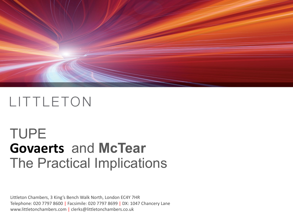

# TUPE **Govaerts** and **McTear** The Practical Implications

Littleton Chambers, 3 King's Bench Walk North, London EC4Y 7HR Telephone: 020 7797 8600 | Facsimile: 020 7797 8699 | DX: 1047 Chancery Lane www.littletonchambers.com | clerks@littletonchambers.co.uk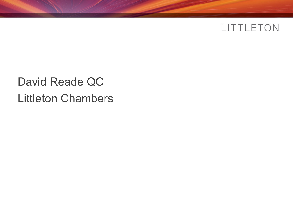## David Reade QC Littleton Chambers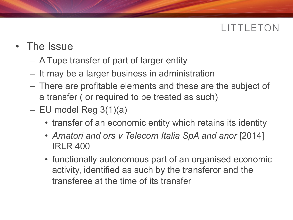- The Issue
	- A Tupe transfer of part of larger entity
	- It may be a larger business in administration
	- There are profitable elements and these are the subject of a transfer ( or required to be treated as such)
	- $-$  EU model Reg 3(1)(a)
		- transfer of an economic entity which retains its identity
		- *Amatori and ors v Telecom Italia SpA and anor* [2014] IRLR 400
		- functionally autonomous part of an organised economic activity, identified as such by the transferor and the transferee at the time of its transfer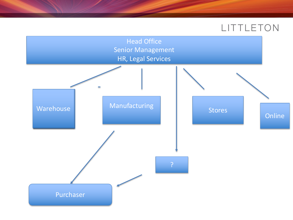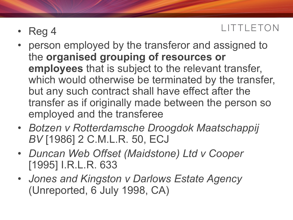- Reg 4
- person employed by the transferor and assigned to the **organised grouping of resources or employees** that is subject to the relevant transfer, which would otherwise be terminated by the transfer, but any such contract shall have effect after the transfer as if originally made between the person so employed and the transferee
- *Botzen v Rotterdamsche Droogdok Maatschappij BV* [1986] 2 C.M.L.R. 50, ECJ
- *Duncan Web Offset (Maidstone) Ltd v Cooper* [1995] I.R.L.R. 633
- *Jones and Kingston v Darlows Estate Agency* (Unreported, 6 July 1998, CA)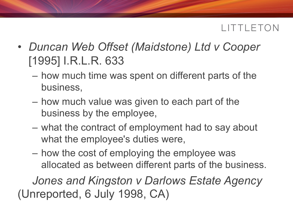- *Duncan Web Offset (Maidstone) Ltd v Cooper* [1995] I.R.L.R. 633
	- how much time was spent on different parts of the business,
	- how much value was given to each part of the business by the employee,
	- what the contract of employment had to say about what the employee's duties were,
	- how the cost of employing the employee was allocated as between different parts of the business.

*Jones and Kingston v Darlows Estate Agency* (Unreported, 6 July 1998, CA)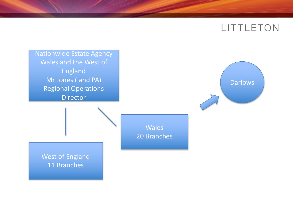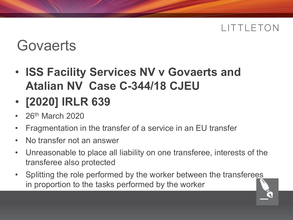# **Govaerts**

- **ISS Facility Services NV v Govaerts and Atalian NV Case C-344/18 CJEU**
- **[2020] IRLR 639**
- 26th March 2020
- Fragmentation in the transfer of a service in an EU transfer
- No transfer not an answer
- Unreasonable to place all liability on one transferee, interests of the transferee also protected
- Splitting the role performed by the worker between the transferees in proportion to the tasks performed by the worker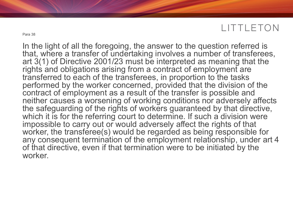In the light of all the foregoing, the answer to the question referred is that, where a transfer of undertaking involves a number of transferees, art 3(1) of Directive 2001/23 must be interpreted as meaning that the rights and obligations arising from a contract of employment are transferred to each of the transferees, in proportion to the tasks performed by the worker concerned, provided that the division of the contract of employment as a result of the transfer is possible and neither causes a worsening of working conditions nor adversely affects the safeguarding of the rights of workers guaranteed by that directive, which it is for the referring court to determine. If such a division were impossible to carry out or would adversely affect the rights of that worker, the transferee(s) would be regarded as being responsible for any consequent termination of the employment relationship, under art 4 of that directive, even if that termination were to be initiated by the worker.

Para 38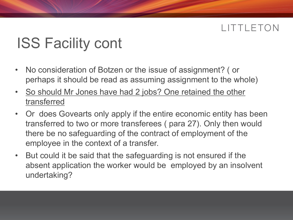# ISS Facility cont

- No consideration of Botzen or the issue of assignment? ( or perhaps it should be read as assuming assignment to the whole)
- So should Mr Jones have had 2 jobs? One retained the other transferred
- Or does Govearts only apply if the entire economic entity has been transferred to two or more transferees ( para 27). Only then would there be no safeguarding of the contract of employment of the employee in the context of a transfer.
- But could it be said that the safeguarding is not ensured if the absent application the worker would be employed by an insolvent undertaking?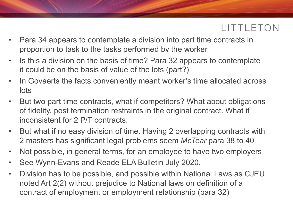- Para 34 appears to contemplate a division into part time contracts in proportion to task to the tasks performed by the worker
- Is this a division on the basis of time? Para 32 appears to contemplate it could be on the basis of value of the lots (part?)
- In Govaerts the facts conveniently meant worker's time allocated across lots
- But two part time contracts, what if competitors? What about obligations of fidelity, post termination restraints in the original contract. What if inconsistent for 2 P/T contracts.
- But what if no easy division of time. Having 2 overlapping contracts with 2 masters has significant legal problems seem *McTear* para 38 to 40
- Not possible, in general terms, for an employee to have two employers
- See Wynn-Evans and Reade ELA Bulletin July 2020,
- Division has to be possible, and possible within National Laws as CJEU noted Art 2(2) without prejudice to National laws on definition of a contract of employment or employment relationship (para 32)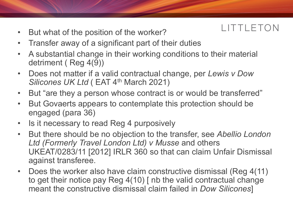- But what of the position of the worker?
- Transfer away of a significant part of their duties
- A substantial change in their working conditions to their material detriment ( Reg 4(9))
- Does not matter if a valid contractual change, per *Lewis v Dow Silicones UK Ltd* (EAT 4<sup>th</sup> March 2021)
- But "are they a person whose contract is or would be transferred"
- But Govaerts appears to contemplate this protection should be engaged (para 36)
- Is it necessary to read Reg 4 purposively
- But there should be no objection to the transfer, see *Abellio London Ltd (Formerly Travel London Ltd) v Musse* and others UKEAT/0283/11 [2012] IRLR 360 so that can claim Unfair Dismissal against transferee.
- Does the worker also have claim constructive dismissal (Reg 4(11) to get their notice pay Reg 4(10) [ nb the valid contractual change meant the constructive dismissal claim failed in *Dow Silicones*]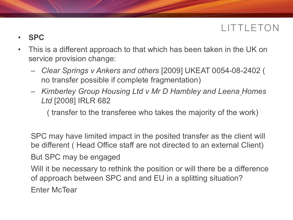- **SPC**
- This is a different approach to that which has been taken in the UK on service provision change:
	- *Clear Springs v Ankers and others* [2009] UKEAT 0054-08-2402 ( no transfer possible if complete fragmentation)
	- *Kimberley Group Housing Ltd v Mr D Hambley and Leena Homes Ltd* [2008] IRLR 682

( transfer to the transferee who takes the majority of the work)

SPC may have limited impact in the posited transfer as the client will be different ( Head Office staff are not directed to an external Client) But SPC may be engaged

Will it be necessary to rethink the position or will there be a difference of approach between SPC and and EU in a splitting situation? Enter McTear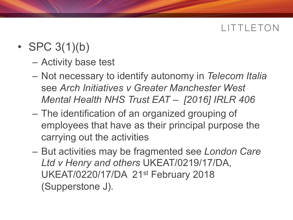- SPC  $3(1)(b)$ 
	- Activity base test
	- Not necessary to identify autonomy in *Telecom Italia*  see *Arch Initiatives v Greater Manchester West Mental Health NHS Trust EAT – [2016] IRLR 406*
	- The identification of an organized grouping of employees that have as their principal purpose the carrying out the activities
	- But activities may be fragmented see *London Care Ltd v Henry and others* UKEAT/0219/17/DA, UKEAT/0220/17/DA 21st February 2018 (Supperstone J).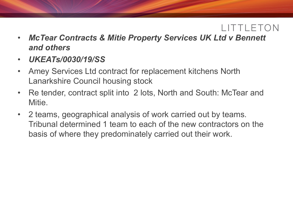- *McTear Contracts & Mitie Property Services UK Ltd v Bennett and others*
- *UKEATs/0030/19/SS*
- Amey Services Ltd contract for replacement kitchens North Lanarkshire Council housing stock
- Re tender, contract split into 2 lots, North and South: McTear and Mitie.
- 2 teams, geographical analysis of work carried out by teams. Tribunal determined 1 team to each of the new contractors on the basis of where they predominately carried out their work.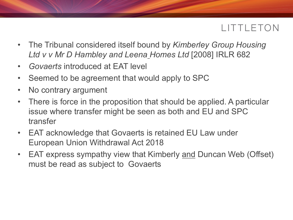- The Tribunal considered itself bound by *Kimberley Group Housing Ltd v v Mr D Hambley and Leena Homes Ltd* [2008] IRLR 682
- *Govaerts* introduced at EAT level
- Seemed to be agreement that would apply to SPC
- No contrary argument
- There is force in the proposition that should be applied. A particular issue where transfer might be seen as both and EU and SPC transfer
- EAT acknowledge that Govaerts is retained EU Law under European Union Withdrawal Act 2018
- EAT express sympathy view that Kimberly and Duncan Web (Offset) must be read as subject to Govaerts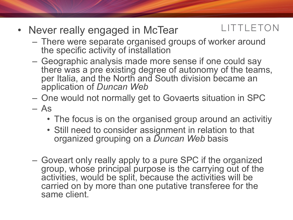- LITTLETON • Never really engaged in McTear
	- There were separate organised groups of worker around the specific activity of installation
	- Geographic analysis made more sense if one could say there was a pre existing degree of autonomy of the teams, per Italia, and the North and South division became an application of *Duncan Web*
	- One would not normally get to Govaerts situation in SPC
	- As
		- The focus is on the organised group around an activitiy
		- Still need to consider assignment in relation to that organized grouping on a *Duncan Web* basis
	- Goveart only really apply to a pure SPC if the organized group, whose principal purpose is the carrying out of the activities, would be split, because the activities will be carried on by more than one putative transferee for the same client.